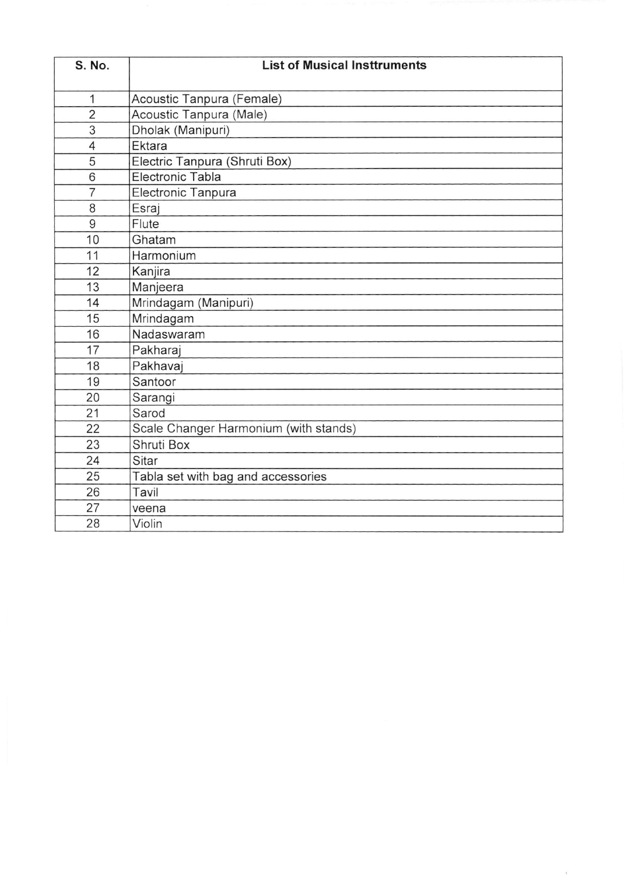| S. No.         | <b>List of Musical Insttruments</b>   |
|----------------|---------------------------------------|
| 1              | Acoustic Tanpura (Female)             |
| $\overline{2}$ | Acoustic Tanpura (Male)               |
| 3              | Dholak (Manipuri)                     |
| 4              | Ektara                                |
| 5              | Electric Tanpura (Shruti Box)         |
| 6              | Electronic Tabla                      |
| $\overline{7}$ | Electronic Tanpura                    |
| 8              | Esraj                                 |
| 9              | Flute                                 |
| 10             | Ghatam                                |
| 11             | Harmonium                             |
| 12             | Kanjira                               |
| 13             | Manjeera                              |
| 14             | Mrindagam (Manipuri)                  |
| 15             | Mrindagam                             |
| 16             | Nadaswaram                            |
| 17             | Pakharaj                              |
| 18             | Pakhavaj                              |
| 19             | Santoor                               |
| 20             | Sarangi                               |
| 21             | Sarod                                 |
| 22             | Scale Changer Harmonium (with stands) |
| 23             | Shruti Box                            |
| 24             | Sitar                                 |
| 25             | Tabla set with bag and accessories    |
| 26             | Tavil                                 |
| 27             | veena                                 |
| 28             | Violin                                |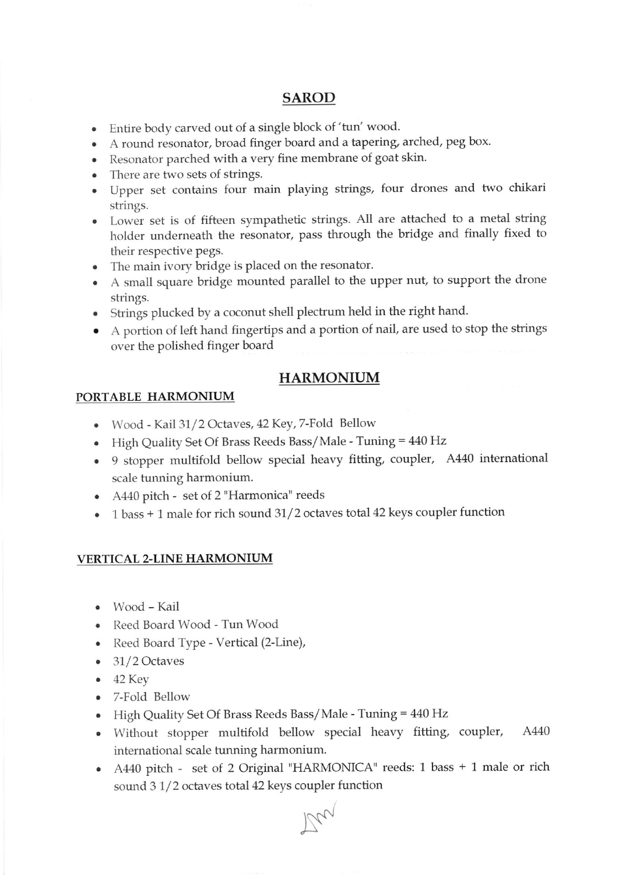### SAROD

- . Entire bocly caryed out of a single block of 'tun' wood.
- . A round resonator, broad finger board and a tapering, arched, peg box.
- . Resonator parched with a very fine membrane of goat skin.
- . There are two sets of strings.
- . Upper set contains four main playing strings, four drones and two chikari strings.
- Lower set is of fifteen sympathetic strings. All are attached to a metal string holder underneath the resonator, pass through the bridge and finally fixed to their respective pegs.
- . The main ivory bridge is placed on the resonator.
- A small square bridge mounted parallel to the upper nut, to support the drone strings.
- o Strings plucked by a coconut shell plectrum held in the right haud.
- o A portion of left hand fingertips and a pottion of nail, are used to stop the strings over the polished finger board

# HARMONIUM

### PORTABLE HARMONIUM

- Wood Kail 31/2 Octaves, 42 Key, 7-Fold Bellow
- High Quality Set Of Brass Reeds Bass/Male Tuning = 440 Hz
- 9 stopper multifold bellow special heavy fitting, coupler, A440 international scale tunning harmonium.
- A440 pitch set of 2 "Harmonica" reeds
- $\bullet$  1 bass + 1 male for rich sound 31/2 octaves total 42 keys coupler function

#### VERTICAL 2-LINE HARMONIUM

- . Wood Kail
- Reed Board Wood Tun Wood
- Reed Board Type Vertical (2-Line),
- $\bullet$  31/2 Octaves
- $-42$  Key
- o 7-Fold Bellow
- High Quality Set Of Brass Reeds Bass/Male Tuning = 440 Hz
- Without stopper multifold bellow special heavy fitting, coupler, A440 international scaie tunning harmonium.
- A440 pitch set of 2 Original "HARMONICA" reeds: 1 bass + 1 male or rich sound 3 1/2 octaves total 42 keys coupler function

 $Mrv$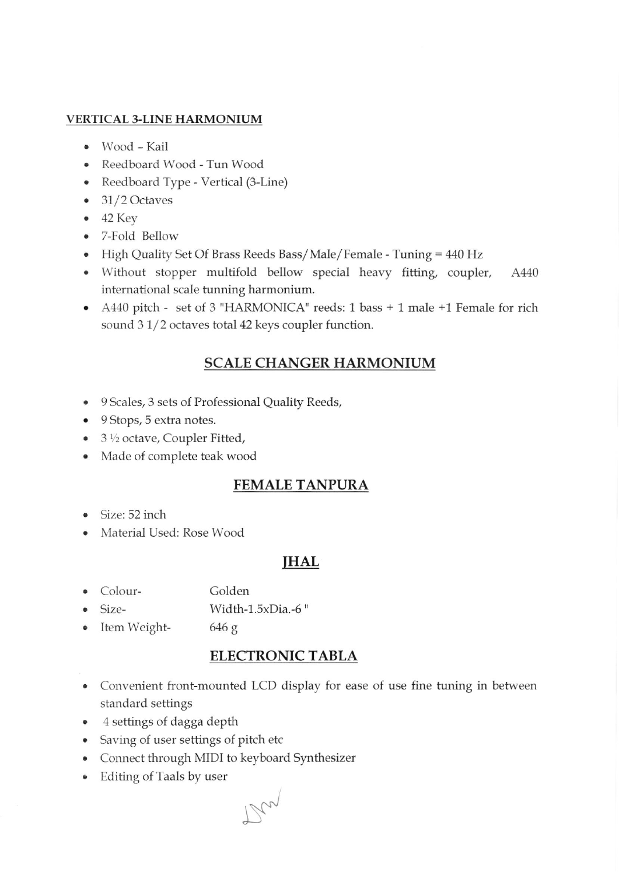### VERTICAL 3-LINE HARMONIUM

- Wood Kail
- . Reedboard Wood Tun Wood
- . Reedboard Type Vertical (3-Line)
- $\bullet$  31/2 Octaves
- $-42$  Key
- o 7-Fold Bellow
- High Quality Set Of Brass Reeds Bass/Male/Female Tuning = 440 Hz
- Without stopper multifold bellow special heavy fitting, coupler, A440 international scale funning harmonium.
- o A440 pitch set of 3 "HARMONICA" reeds: 1 bass + 1 male +1 Female for rich sound  $3 \frac{1}{2}$  octaves total 42 keys coupler function.

# SCALE CHANGER HARMONIUM

- o 9 Scales, 3 sets of Professionai Quality Reeds,
- 9 Stops, 5 extra notes.
- $3\frac{1}{2}$  octave, Coupler Fitted,
- Made of complete teak wood

# FEMALE TANPURA

- $\bullet$  Size: 52 inch
- Material Used: Rose Wood

# IHAL

- . Colour-Golden
- o Sizc- Width-1.5xDia.-6 "
- . Item Weight-646 g

# ELECTRONIC TABLA

- Convenient front-mounted LCD display for ease of use fine tuning in between standard settings
- o 4 settings of dagga depth
- Saving of user settings of pitch etc
- Connect through MIDI to keyboard Synthesizer
- . Editing of Taals by user

 $\mathbb{N}^{\mathbb{N}}$